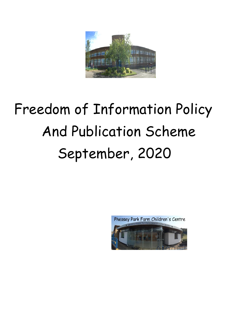

# Freedom of Information Policy And Publication Scheme September, 2020

Pheasey Park Farm Children's Centre

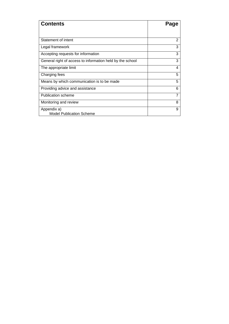<span id="page-1-1"></span><span id="page-1-0"></span>

| <b>Contents</b>                                           | Page           |
|-----------------------------------------------------------|----------------|
|                                                           |                |
| Statement of intent                                       | $\overline{2}$ |
| Legal framework                                           | 3              |
| Accepting requests for information                        | 3              |
| General right of access to information held by the school | 3              |
| The appropriate limit                                     | 4              |
| Charging fees                                             | 5              |
| Means by which communication is to be made                | 5              |
| Providing advice and assistance                           | 6              |
| <b>Publication scheme</b>                                 | 7              |
| Monitoring and review                                     | 8              |
| Appendix a)<br><b>Model Publication Scheme</b>            | 9              |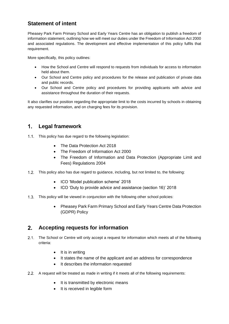# **Statement of intent**

Pheasey Park Farm Primary School and Early Years Centre has an obligation to publish a freedom of information statement, outlining how we will meet our duties under the Freedom of Information Act 2000 and associated regulations. The development and effective implementation of this policy fulfils that requirement.

More specifically, this policy outlines:

- How the School and Centre will respond to requests from individuals for access to information held about them.
- Our School and Centre policy and procedures for the release and publication of private data and public records.
- Our School and Centre policy and procedures for providing applicants with advice and assistance throughout the duration of their requests.

It also clarifies our position regarding the appropriate limit to the costs incurred by schools in obtaining any requested information, and on charging fees for its provision.

#### **Legal framework**  $1.$

- 1.1. This policy has due regard to the following legislation:
	- The Data Protection Act 2018
	- The Freedom of Information Act 2000
	- The Freedom of Information and Data Protection (Appropriate Limit and Fees) Regulations 2004
- This policy also has due regard to guidance, including, but not limited to, the following:
	- ICO 'Model publication scheme' 2018
	- ICO 'Duty to provide advice and assistance (section 16)' 2018
- This policy will be viewed in conjunction with the following other school policies:
	- Pheasey Park Farm Primary School and Early Years Centre Data Protection (GDPR) Policy

#### <span id="page-2-0"></span> $2.$ **Accepting requests for information**

- 2.1. The School or Centre will only accept a request for information which meets all of the following criteria:
	- It is in writing
	- It states the name of the applicant and an address for correspondence
	- It describes the information requested
- A request will be treated as made in writing if it meets all of the following requirements:
	- It is transmitted by electronic means
	- It is received in legible form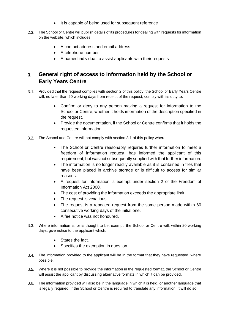- It is capable of being used for subsequent reference
- 2.3. The School or Centre will publish details of its procedures for dealing with requests for information on the website, which includes:
	- A contact address and email address
	- A telephone number
	- A named individual to assist applicants with their requests

## <span id="page-3-0"></span>**General right of access to information held by the School or**   $3<sub>1</sub>$ **Early Years Centre**

- Provided that the request complies with [section 2](#page-2-0) of this policy, the School or Early Years Centre will, no later than 20 working days from receipt of the request, comply with its duty to:
	- Confirm or deny to any person making a request for information to the School or Centre, whether it holds information of the description specified in the request.
	- Provide the documentation, if the School or Centre confirms that it holds the requested information.
- The School and Centre will not comply with section 3.1 of this policy where:
	- The School or Centre reasonably requires further information to meet a freedom of information request, has informed the applicant of this requirement, but was not subsequently supplied with that further information.
	- The information is no longer readily available as it is contained in files that have been placed in archive storage or is difficult to access for similar reasons.
	- A request for information is exempt under section 2 of the Freedom of Information Act 2000.
	- The cost of providing the information exceeds the appropriate limit.
	- The request is vexatious.
	- The request is a repeated request from the same person made within 60 consecutive working days of the initial one.
	- A fee notice was not honoured.
- Where information is, or is thought to be, exempt, the School or Centre will, within 20 working days, give notice to the applicant which:
	- States the fact.
	- Specifies the exemption in question.
- The information provided to the applicant will be in the format that they have requested, where possible.
- Where it is not possible to provide the information in the requested format, the School or Centre will assist the applicant by discussing alternative formats in which it can be provided.
- The information provided will also be in the language in which it is held, or another language that is legally required. If the School or Centre is required to translate any information, it will do so.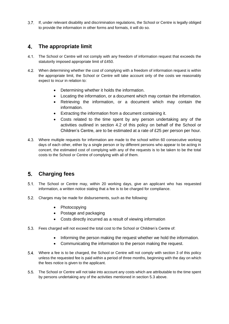If, under relevant disability and discrimination regulations, the School or Centre is legally obliged to provide the information in other forms and formats, it will do so.

### <span id="page-4-0"></span> $\mathbf{4}$ . **The appropriate limit**

- 4.1. The School or Centre will not comply with any freedom of information request that exceeds the statutorily imposed appropriate limit of £450.
- 4.2. When determining whether the cost of complying with a freedom of information request is within the appropriate limit, the School or Centre will take account only of the costs we reasonably expect to incur in relation to:
	- Determining whether it holds the information.
	- Locating the information, or a document which may contain the information.
	- Retrieving the information, or a document which may contain the information.
	- Extracting the information from a document containing it.
	- Costs related to the time spent by any person undertaking any of the activities outlined in section 4.2 of this policy on behalf of the School or Children's Centre, are to be estimated at a rate of £25 per person per hour.
- Where multiple requests for information are made to the school within 60 consecutive working days of each other, either by a single person or by different persons who appear to be acting in concert, the estimated cost of complying with any of the requests is to be taken to be the total costs to the School or Centre of complying with all of them.

## <span id="page-4-1"></span> $5<sub>1</sub>$ **Charging fees**

- 5.1. The School or Centre may, within 20 working days, give an applicant who has requested information, a written notice stating that a fee is to be charged for compliance.
- Charges may be made for disbursements, such as the following:
	- Photocopying
	- Postage and packaging
	- Costs directly incurred as a result of viewing information
- Fees charged will not exceed the total cost to the School or Children's Centre of:
	- Informing the person making the request whether we hold the information.
	- Communicating the information to the person making the request.
- Where a fee is to be charged, the School or Centre will not comply with section 3 of this policy unless the requested fee is paid within a period of three months, beginning with the day on which the fees notice is given to the applicant.
- The School or Centre will not take into account any costs which are attributable to the time spent by persons undertaking any of the activities mentioned in section 5.3 above.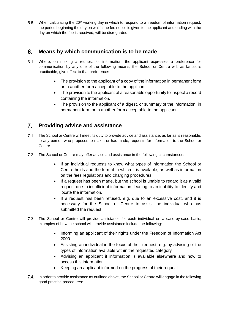5.6. When calculating the  $20<sup>th</sup>$  working day in which to respond to a freedom of information request, the period beginning the day on which the fee notice is given to the applicant and ending with the day on which the fee is received, will be disregarded.

#### $6.$ **Means by which communication is to be made**

- Where, on making a request for information, the applicant expresses a preference for communication by any one of the following means, the School or Centre will, as far as is practicable, give effect to that preference:
	- The provision to the applicant of a copy of the information in permanent form or in another form acceptable to the applicant.
	- The provision to the applicant of a reasonable opportunity to inspect a record containing the information.
	- The provision to the applicant of a digest, or summary of the information, in permanent form or in another form acceptable to the applicant.

# <span id="page-5-0"></span>**Providing advice and assistance**

- The School or Centre will meet its duty to provide advice and assistance, as far as is reasonable, to any person who proposes to make, or has made, requests for information to the School or Centre.
- The School or Centre may offer advice and assistance in the following circumstances:
	- If an individual requests to know what types of information the School or Centre holds and the format in which it is available, as well as information on the fees regulations and charging procedures.
	- If a request has been made, but the school is unable to regard it as a valid request due to insufficient information, leading to an inability to identify and locate the information.
	- If a request has been refused, e.g. due to an excessive cost, and it is necessary for the School or Centre to assist the individual who has submitted the request.
- The School or Centre will provide assistance for each individual on a case-by-case basis; examples of how the school will provide assistance include the following:
	- Informing an applicant of their rights under the Freedom of Information Act 2000
	- Assisting an individual in the focus of their request, e.g. by advising of the types of information available within the requested category
	- Advising an applicant if information is available elsewhere and how to access this information
	- Keeping an applicant informed on the progress of their request
- 7.4. In order to provide assistance as outlined above, the School or Centre will engage in the following good practice procedures: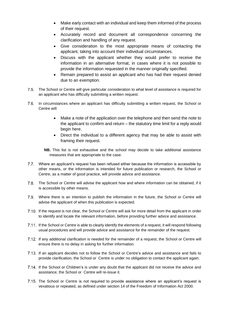- Make early contact with an individual and keep them informed of the process of their request.
- Accurately record and document all correspondence concerning the clarification and handling of any request.
- Give consideration to the most appropriate means of contacting the applicant, taking into account their individual circumstances.
- Discuss with the applicant whether they would prefer to receive the information in an alternative format, in cases where it is not possible to provide the information requested in the manner originally specified.
- Remain prepared to assist an applicant who has had their request denied due to an exemption.
- The School or Centre will give particular consideration to what level of assistance is required for an applicant who has difficulty submitting a written request.
- $7.6.$ In circumstances where an applicant has difficulty submitting a written request, the School or Centre will:
	- Make a note of the application over the telephone and then send the note to the applicant to confirm and return – the statutory time limit for a reply would begin here.
	- Direct the individual to a different agency that may be able to assist with framing their request.
	- **NB.** This list is not exhaustive and the school may decide to take additional assistance measures that are appropriate to the case.
- Where an applicant's request has been refused either because the information is accessible by other means, or the information is intended for future publication or research, the School or Centre, as a matter of good practice, will provide advice and assistance.
- The School or Centre will advise the applicant how and where information can be obtained, if it is accessible by other means.
- Where there is an intention to publish the information in the future, the School or Centre will advise the applicant of when this publication is expected.
- 7.10. If the request is not clear, the School or Centre will ask for more detail from the applicant in order to identify and locate the relevant information, before providing further advice and assistance.
- 7.11. If the School or Centre is able to clearly identify the elements of a request, it will respond following usual procedures and will provide advice and assistance for the remainder of the request.
- If any additional clarification is needed for the remainder of a request, the School or Centre will ensure there is no delay in asking for further information.
- 7.13. If an applicant decides not to follow the School or Centre's advice and assistance and fails to provide clarification, the School or Centre is under no obligation to contact the applicant again.
- 7.14. If the School or Children's is under any doubt that the applicant did not receive the advice and assistance, the School or Centre will re-issue it.
- 7.15. The School or Centre is not required to provide assistance where an applicant's request is vexatious or repeated, as defined under section 14 of the Freedom of Information Act 2000.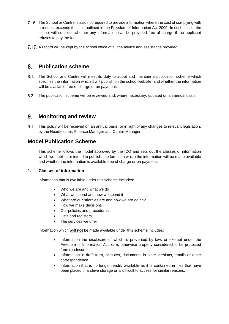- 7.16. The School or Centre is also not required to provide information where the cost of complying with a request exceeds the limit outlined in the Freedom of Information Act 2000. In such cases, the school will consider whether any information can be provided free of charge if the applicant refuses to pay the fee.
- A record will be kept by the school office of all the advice and assistance provided.

# <span id="page-7-0"></span>**Publication scheme**

- The School and Centre will meet its duty to adopt and maintain a publication scheme which specifies the information which it will publish on the school website, and whether the information will be available free of charge or on payment.
- <span id="page-7-1"></span>The publication scheme will be reviewed and, where necessary, updated on an annual basis.

### $9<sub>-</sub>$ **Monitoring and review**

This policy will be received on an annual basis, or in light of any changes to relevant legislation, by the Headteacher, Finance Manager and Centre Manager.

# <span id="page-7-2"></span>**Model Publication Scheme**

This scheme follows the model approved by the ICO and sets out the classes of information which we publish or intend to publish; the format in which the information will be made available and whether the information is available free of charge or on payment.

## **1. Classes of information**

Information that is available under this scheme includes:

- Who we are and what we do
- What we spend and how we spend it
- What are our priorities are and how we are doing?
- How we make decisions
- Our policies and procedures
- Lists and registers
- The services we offer

Information which **will not** be made available under this scheme includes:

- Information the disclosure of which is prevented by law, or exempt under the Freedom of Information Act, or is otherwise properly considered to be protected from disclosure.
- Information in draft form, or notes, documents in older versions, emails or other correspondence.
- Information that is no longer readily available as it is contained in files that have been placed in archive storage or is difficult to access for similar reasons.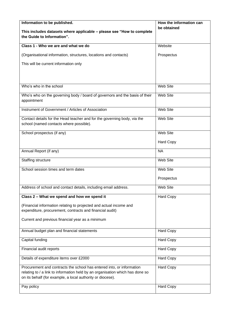| Information to be published.                                                                                                                | How the information can |
|---------------------------------------------------------------------------------------------------------------------------------------------|-------------------------|
| This includes datasets where applicable - please see "How to complete                                                                       | be obtained             |
| the Guide to Information".                                                                                                                  |                         |
| Class 1 - Who we are and what we do                                                                                                         | Website                 |
| (Organisational information, structures, locations and contacts)                                                                            | Prospectus              |
| This will be current information only                                                                                                       |                         |
|                                                                                                                                             |                         |
|                                                                                                                                             |                         |
| Who's who in the school                                                                                                                     | <b>Web Site</b>         |
|                                                                                                                                             |                         |
| Who's who on the governing body / board of governors and the basis of their<br>appointment                                                  | Web Site                |
| Instrument of Government / Articles of Association                                                                                          | Web Site                |
| Contact details for the Head teacher and for the governing body, via the                                                                    | <b>Web Site</b>         |
| school (named contacts where possible).                                                                                                     |                         |
| School prospectus (if any)                                                                                                                  | Web Site                |
|                                                                                                                                             | <b>Hard Copy</b>        |
| Annual Report (if any)                                                                                                                      | <b>NA</b>               |
| <b>Staffing structure</b>                                                                                                                   | <b>Web Site</b>         |
| School session times and term dates                                                                                                         | Web Site                |
|                                                                                                                                             | Prospectus              |
| Address of school and contact details, including email address.                                                                             | Web Site                |
| Class 2 - What we spend and how we spend it                                                                                                 | <b>Hard Copy</b>        |
| (Financial information relating to projected and actual income and<br>expenditure, procurement, contracts and financial audit)              |                         |
| Current and previous financial year as a minimum                                                                                            |                         |
| Annual budget plan and financial statements                                                                                                 | <b>Hard Copy</b>        |
| Capital funding                                                                                                                             | <b>Hard Copy</b>        |
| Financial audit reports                                                                                                                     | <b>Hard Copy</b>        |
| Details of expenditure items over £2000                                                                                                     | <b>Hard Copy</b>        |
| Procurement and contracts the school has entered into, or information                                                                       | <b>Hard Copy</b>        |
| relating to / a link to information held by an organisation which has done so<br>on its behalf (for example, a local authority or diocese). |                         |
| Pay policy                                                                                                                                  | <b>Hard Copy</b>        |
|                                                                                                                                             |                         |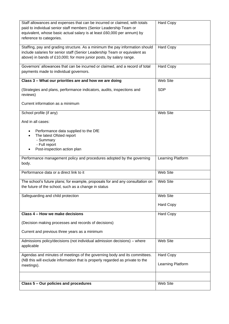| Staff allowances and expenses that can be incurred or claimed, with totals<br>paid to individual senior staff members (Senior Leadership Team or<br>equivalent, whose basic actual salary is at least £60,000 per annum) by<br>reference to categories. | <b>Hard Copy</b>  |
|---------------------------------------------------------------------------------------------------------------------------------------------------------------------------------------------------------------------------------------------------------|-------------------|
| Staffing, pay and grading structure. As a minimum the pay information should<br>include salaries for senior staff (Senior Leadership Team or equivalent as<br>above) in bands of £10,000; for more junior posts, by salary range.                       | <b>Hard Copy</b>  |
| Governors' allowances that can be incurred or claimed, and a record of total<br>payments made to individual governors.                                                                                                                                  | <b>Hard Copy</b>  |
| Class 3 - What our priorities are and how we are doing                                                                                                                                                                                                  | Web Site          |
| (Strategies and plans, performance indicators, audits, inspections and<br>reviews)                                                                                                                                                                      | <b>SDP</b>        |
| Current information as a minimum                                                                                                                                                                                                                        |                   |
| School profile (if any)                                                                                                                                                                                                                                 | Web Site          |
| And in all cases:                                                                                                                                                                                                                                       |                   |
| Performance data supplied to the DfE<br>The latest Ofsted report<br>- Summary<br>- Full report<br>Post-inspection action plan                                                                                                                           |                   |
| Performance management policy and procedures adopted by the governing<br>body.                                                                                                                                                                          | Learning Platform |
| Performance data or a direct link to it                                                                                                                                                                                                                 | <b>Web Site</b>   |
| The school's future plans; for example, proposals for and any consultation on<br>the future of the school, such as a change in status                                                                                                                   | Web Site          |
| Safeguarding and child protection                                                                                                                                                                                                                       | Web Site          |
|                                                                                                                                                                                                                                                         | <b>Hard Copy</b>  |
| Class 4 - How we make decisions                                                                                                                                                                                                                         | <b>Hard Copy</b>  |
| (Decision making processes and records of decisions)                                                                                                                                                                                                    |                   |
| Current and previous three years as a minimum                                                                                                                                                                                                           |                   |
| Admissions policy/decisions (not individual admission decisions) - where<br>applicable                                                                                                                                                                  | <b>Web Site</b>   |
| Agendas and minutes of meetings of the governing body and its committees.                                                                                                                                                                               | <b>Hard Copy</b>  |
| (NB this will exclude information that is properly regarded as private to the<br>meetings).                                                                                                                                                             | Learning Platform |
|                                                                                                                                                                                                                                                         |                   |
|                                                                                                                                                                                                                                                         |                   |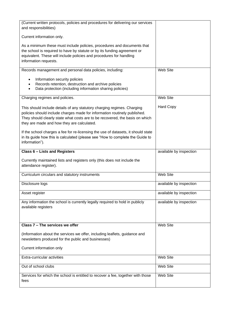| (Current written protocols, policies and procedures for delivering our services<br>and responsibilities)                                                                                                                                                                           |                         |
|------------------------------------------------------------------------------------------------------------------------------------------------------------------------------------------------------------------------------------------------------------------------------------|-------------------------|
| Current information only.                                                                                                                                                                                                                                                          |                         |
| As a minimum these must include policies, procedures and documents that<br>the school is required to have by statute or by its funding agreement or<br>equivalent. These will include policies and procedures for handling<br>information requests.                                |                         |
| Records management and personal data policies, including:                                                                                                                                                                                                                          | Web Site                |
| Information security policies<br>٠<br>Records retention, destruction and archive policies<br>Data protection (including information sharing policies)                                                                                                                              |                         |
| Charging regimes and policies.                                                                                                                                                                                                                                                     | Web Site                |
| This should include details of any statutory charging regimes. Charging<br>policies should include charges made for information routinely published.<br>They should clearly state what costs are to be recovered, the basis on which<br>they are made and how they are calculated. | <b>Hard Copy</b>        |
| If the school charges a fee for re-licensing the use of datasets, it should state<br>in its guide how this is calculated (please see "How to complete the Guide to<br>information").                                                                                               |                         |
| <b>Class 6 - Lists and Registers</b>                                                                                                                                                                                                                                               | available by inspection |
| Currently maintained lists and registers only (this does not include the<br>attendance register).                                                                                                                                                                                  |                         |
| Curriculum circulars and statutory instruments                                                                                                                                                                                                                                     | <b>Web Site</b>         |
| Disclosure logs                                                                                                                                                                                                                                                                    | available by inspection |
| Asset register                                                                                                                                                                                                                                                                     | available by inspection |
| Any information the school is currently legally required to hold in publicly<br>available registers                                                                                                                                                                                | available by inspection |
| Class 7 - The services we offer                                                                                                                                                                                                                                                    | Web Site                |
| (Information about the services we offer, including leaflets, guidance and<br>newsletters produced for the public and businesses)                                                                                                                                                  |                         |
| Current information only                                                                                                                                                                                                                                                           |                         |
| Extra-curricular activities                                                                                                                                                                                                                                                        | Web Site                |
| Out of school clubs                                                                                                                                                                                                                                                                | Web Site                |
| Services for which the school is entitled to recover a fee, together with those<br>fees                                                                                                                                                                                            | Web Site                |